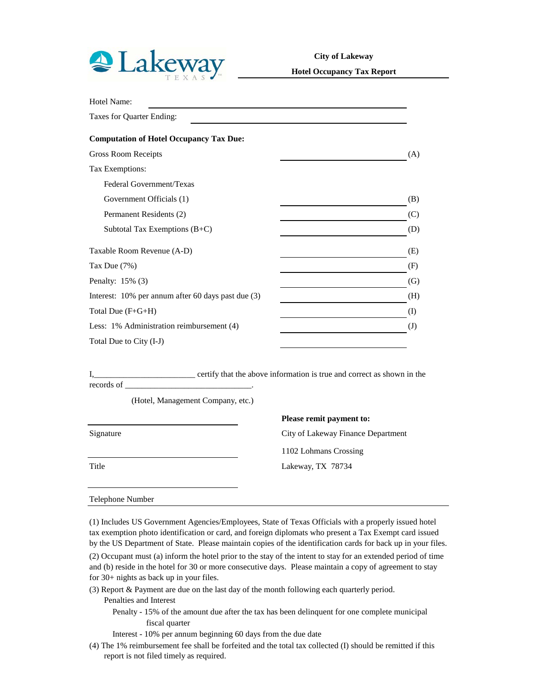

**City of Lakeway**

**Hotel Occupancy Tax Report**

| Hotel Name:                                        |              |
|----------------------------------------------------|--------------|
| Taxes for Quarter Ending:                          |              |
| <b>Computation of Hotel Occupancy Tax Due:</b>     |              |
| <b>Gross Room Receipts</b>                         | (A)          |
| Tax Exemptions:                                    |              |
| Federal Government/Texas                           |              |
| Government Officials (1)                           | (B)          |
| Permanent Residents (2)                            | (C)          |
| Subtotal Tax Exemptions (B+C)                      | (D)          |
| Taxable Room Revenue (A-D)                         | (E)          |
| Tax Due $(7%)$                                     | (F)          |
| Penalty: 15% (3)                                   | (G)          |
| Interest: 10% per annum after 60 days past due (3) | (H)          |
| Total Due (F+G+H)                                  | $\rm (I)$    |
| Less: 1% Administration reimbursement (4)          | $\mathrm{J}$ |
| Total Due to City (I-J)                            |              |

I,\_\_\_\_\_\_\_\_\_\_\_\_\_\_\_\_\_\_\_\_\_\_\_\_ certify that the above information is true and correct as shown in the records of

(Hotel, Management Company, etc.)

**Please remit payment to:** Signature City of Lakeway Finance Department 1102 Lohmans Crossing Title Lakeway, TX 78734

## Telephone Number

(1) Includes US Government Agencies/Employees, State of Texas Officials with a properly issued hotel tax exemption photo identification or card, and foreign diplomats who present a Tax Exempt card issued by the US Department of State. Please maintain copies of the identification cards for back up in your files.

(2) Occupant must (a) inform the hotel prior to the stay of the intent to stay for an extended period of time and (b) reside in the hotel for 30 or more consecutive days. Please maintain a copy of agreement to stay for 30+ nights as back up in your files.

- (3) Report & Payment are due on the last day of the month following each quarterly period. Penalties and Interest
	- Penalty 15% of the amount due after the tax has been delinquent for one complete municipal fiscal quarter
	- Interest 10% per annum beginning 60 days from the due date
- (4) The 1% reimbursement fee shall be forfeited and the total tax collected (I) should be remitted if this report is not filed timely as required.